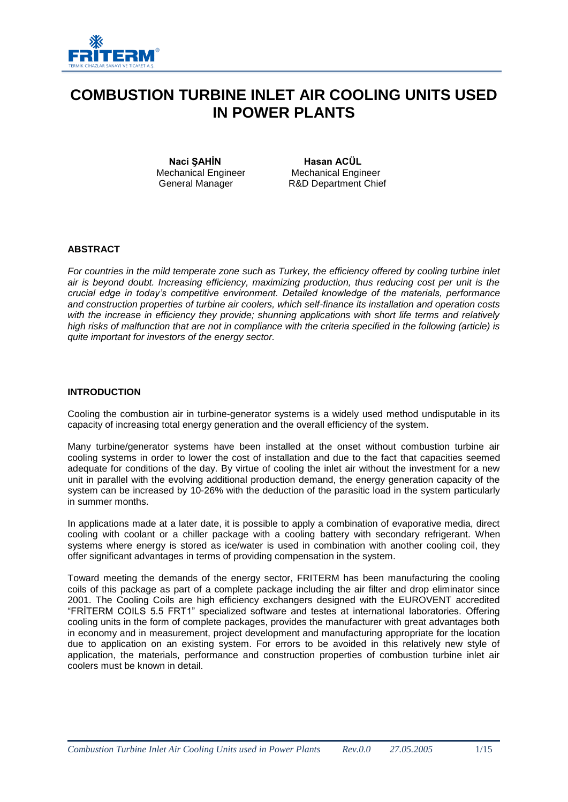

# **COMBUSTION TURBINE INLET AIR COOLING UNITS USED IN POWER PLANTS**

Mechanical Engineer<br>General Manager

**Naci ŞAHİN**<br> **Example 20 Engineer**<br> **Mechanical Engineer**<br> **Mechanical Engineer** R&D Department Chief

## **ABSTRACT**

*For countries in the mild temperate zone such as Turkey, the efficiency offered by cooling turbine inlet air is beyond doubt. Increasing efficiency, maximizing production, thus reducing cost per unit is the crucial edge in today's competitive environment. Detailed knowledge of the materials, performance and construction properties of turbine air coolers, which self-finance its installation and operation costs with the increase in efficiency they provide; shunning applications with short life terms and relatively high risks of malfunction that are not in compliance with the criteria specified in the following (article) is quite important for investors of the energy sector.*

#### **INTRODUCTION**

Cooling the combustion air in turbine-generator systems is a widely used method undisputable in its capacity of increasing total energy generation and the overall efficiency of the system.

Many turbine/generator systems have been installed at the onset without combustion turbine air cooling systems in order to lower the cost of installation and due to the fact that capacities seemed adequate for conditions of the day. By virtue of cooling the inlet air without the investment for a new unit in parallel with the evolving additional production demand, the energy generation capacity of the system can be increased by 10-26% with the deduction of the parasitic load in the system particularly in summer months.

In applications made at a later date, it is possible to apply a combination of evaporative media, direct cooling with coolant or a chiller package with a cooling battery with secondary refrigerant. When systems where energy is stored as ice/water is used in combination with another cooling coil, they offer significant advantages in terms of providing compensation in the system.

Toward meeting the demands of the energy sector, FRITERM has been manufacturing the cooling coils of this package as part of a complete package including the air filter and drop eliminator since 2001. The Cooling Coils are high efficiency exchangers designed with the EUROVENT accredited "FRİTERM COILS 5.5 FRT1" specialized software and testes at international laboratories. Offering cooling units in the form of complete packages, provides the manufacturer with great advantages both in economy and in measurement, project development and manufacturing appropriate for the location due to application on an existing system. For errors to be avoided in this relatively new style of application, the materials, performance and construction properties of combustion turbine inlet air coolers must be known in detail.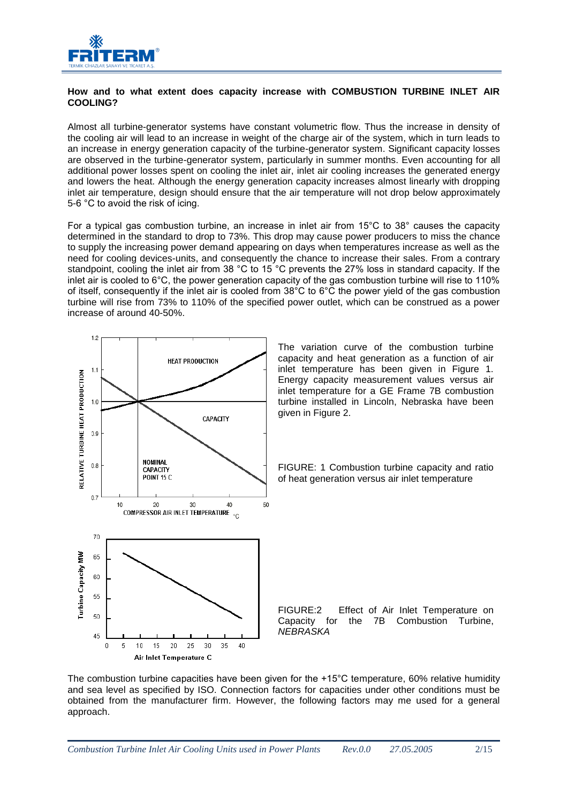

## **How and to what extent does capacity increase with COMBUSTION TURBINE INLET AIR COOLING?**

Almost all turbine-generator systems have constant volumetric flow. Thus the increase in density of the cooling air will lead to an increase in weight of the charge air of the system, which in turn leads to an increase in energy generation capacity of the turbine-generator system. Significant capacity losses are observed in the turbine-generator system, particularly in summer months. Even accounting for all additional power losses spent on cooling the inlet air, inlet air cooling increases the generated energy and lowers the heat. Although the energy generation capacity increases almost linearly with dropping inlet air temperature, design should ensure that the air temperature will not drop below approximately 5-6 °C to avoid the risk of icing.

For a typical gas combustion turbine, an increase in inlet air from 15°C to 38° causes the capacity determined in the standard to drop to 73%. This drop may cause power producers to miss the chance to supply the increasing power demand appearing on days when temperatures increase as well as the need for cooling devices-units, and consequently the chance to increase their sales. From a contrary standpoint, cooling the inlet air from 38 °C to 15 °C prevents the 27% loss in standard capacity. If the inlet air is cooled to 6°C, the power generation capacity of the gas combustion turbine will rise to 110% of itself, consequently if the inlet air is cooled from 38°C to 6°C the power yield of the gas combustion turbine will rise from 73% to 110% of the specified power outlet, which can be construed as a power increase of around 40-50%.



The combustion turbine capacities have been given for the +15°C temperature, 60% relative humidity and sea level as specified by ISO. Connection factors for capacities under other conditions must be obtained from the manufacturer firm. However, the following factors may me used for a general approach.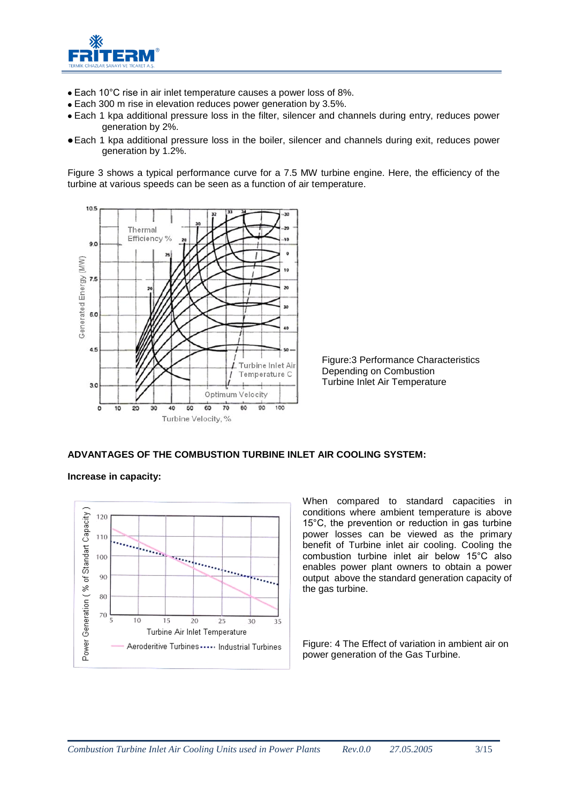

- Each 10°C rise in air inlet temperature causes a power loss of 8%.
- Each 300 m rise in elevation reduces power generation by 3.5%.
- Each 1 kpa additional pressure loss in the filter, silencer and channels during entry, reduces power generation by 2%.
- Each 1 kpa additional pressure loss in the boiler, silencer and channels during exit, reduces power generation by 1.2%.

Figure 3 shows a typical performance curve for a 7.5 MW turbine engine. Here, the efficiency of the turbine at various speeds can be seen as a function of air temperature.



Figure:3 Performance Characteristics Depending on Combustion Turbine Inlet Air Temperature

**ADVANTAGES OF THE COMBUSTION TURBINE INLET AIR COOLING SYSTEM:**

**Increase in capacity:**



When compared to standard capacities in conditions where ambient temperature is above 15°C, the prevention or reduction in gas turbine power losses can be viewed as the primary benefit of Turbine inlet air cooling. Cooling the combustion turbine inlet air below 15°C also enables power plant owners to obtain a power output above the standard generation capacity of the gas turbine.

Figure: 4 The Effect of variation in ambient air on power generation of the Gas Turbine.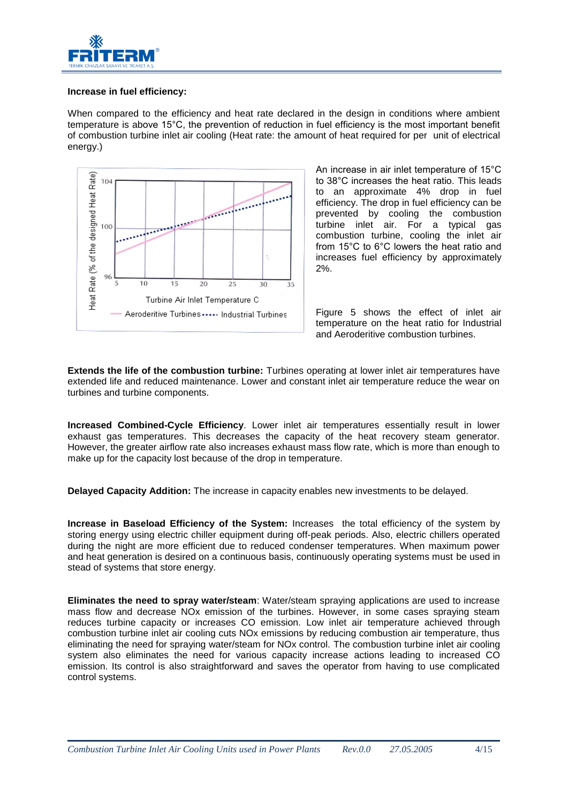

## **Increase in fuel efficiency:**

When compared to the efficiency and heat rate declared in the design in conditions where ambient temperature is above 15°C, the prevention of reduction in fuel efficiency is the most important benefit of combustion turbine inlet air cooling (Heat rate: the amount of heat required for per unit of electrical energy.)



An increase in air inlet temperature of 15°C to 38°C increases the heat ratio. This leads to an approximate 4% drop in fuel efficiency. The drop in fuel efficiency can be prevented by cooling the combustion turbine inlet air. For a typical gas combustion turbine, cooling the inlet air from 15°C to 6°C lowers the heat ratio and increases fuel efficiency by approximately 2%.

Figure 5 shows the effect of inlet air temperature on the heat ratio for Industrial and Aeroderitive combustion turbines.

**Extends the life of the combustion turbine:** Turbines operating at lower inlet air temperatures have extended life and reduced maintenance. Lower and constant inlet air temperature reduce the wear on turbines and turbine components.

**Increased Combined-Cycle Efficiency**. Lower inlet air temperatures essentially result in lower exhaust gas temperatures. This decreases the capacity of the heat recovery steam generator. However, the greater airflow rate also increases exhaust mass flow rate, which is more than enough to make up for the capacity lost because of the drop in temperature.

**Delayed Capacity Addition:** The increase in capacity enables new investments to be delayed.

**Increase in Baseload Efficiency of the System:** Increases the total efficiency of the system by storing energy using electric chiller equipment during off-peak periods. Also, electric chillers operated during the night are more efficient due to reduced condenser temperatures. When maximum power and heat generation is desired on a continuous basis, continuously operating systems must be used in stead of systems that store energy.

**Eliminates the need to spray water/steam**: Water/steam spraying applications are used to increase mass flow and decrease NOx emission of the turbines. However, in some cases spraying steam reduces turbine capacity or increases CO emission. Low inlet air temperature achieved through combustion turbine inlet air cooling cuts NOx emissions by reducing combustion air temperature, thus eliminating the need for spraying water/steam for NOx control. The combustion turbine inlet air cooling system also eliminates the need for various capacity increase actions leading to increased CO emission. Its control is also straightforward and saves the operator from having to use complicated control systems.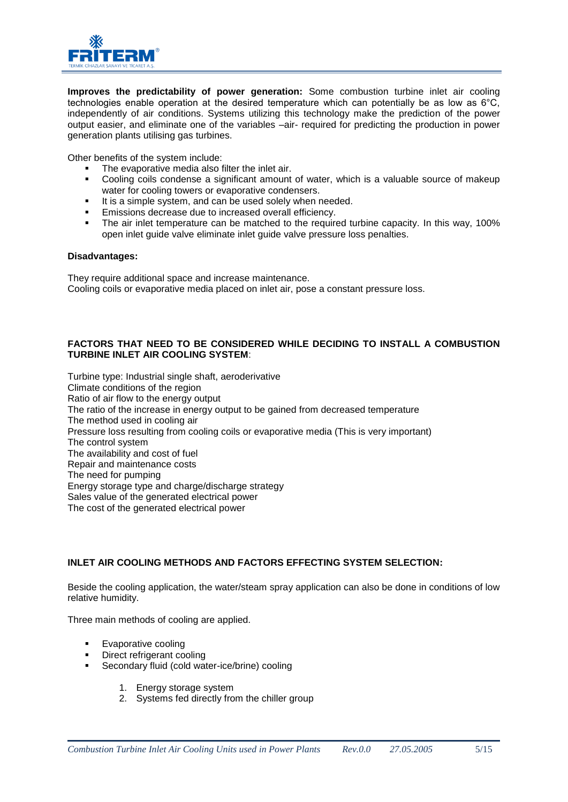

**Improves the predictability of power generation:** Some combustion turbine inlet air cooling technologies enable operation at the desired temperature which can potentially be as low as 6°C, independently of air conditions. Systems utilizing this technology make the prediction of the power output easier, and eliminate one of the variables –air- required for predicting the production in power generation plants utilising gas turbines.

Other benefits of the system include:

- The evaporative media also filter the inlet air.
- Cooling coils condense a significant amount of water, which is a valuable source of makeup water for cooling towers or evaporative condensers.
- It is a simple system, and can be used solely when needed.
- Emissions decrease due to increased overall efficiency.
- The air inlet temperature can be matched to the required turbine capacity. In this way, 100% open inlet guide valve eliminate inlet guide valve pressure loss penalties.

#### **Disadvantages:**

They require additional space and increase maintenance. Cooling coils or evaporative media placed on inlet air, pose a constant pressure loss.

## **FACTORS THAT NEED TO BE CONSIDERED WHILE DECIDING TO INSTALL A COMBUSTION TURBINE INLET AIR COOLING SYSTEM**:

Turbine type: Industrial single shaft, aeroderivative Climate conditions of the region Ratio of air flow to the energy output The ratio of the increase in energy output to be gained from decreased temperature The method used in cooling air Pressure loss resulting from cooling coils or evaporative media (This is very important) The control system The availability and cost of fuel Repair and maintenance costs The need for pumping Energy storage type and charge/discharge strategy Sales value of the generated electrical power The cost of the generated electrical power

## **INLET AIR COOLING METHODS AND FACTORS EFFECTING SYSTEM SELECTION:**

Beside the cooling application, the water/steam spray application can also be done in conditions of low relative humidity.

Three main methods of cooling are applied.

- **Evaporative cooling**
- Direct refrigerant cooling
- Secondary fluid (cold water-ice/brine) cooling
	- 1. Energy storage system
	- 2. Systems fed directly from the chiller group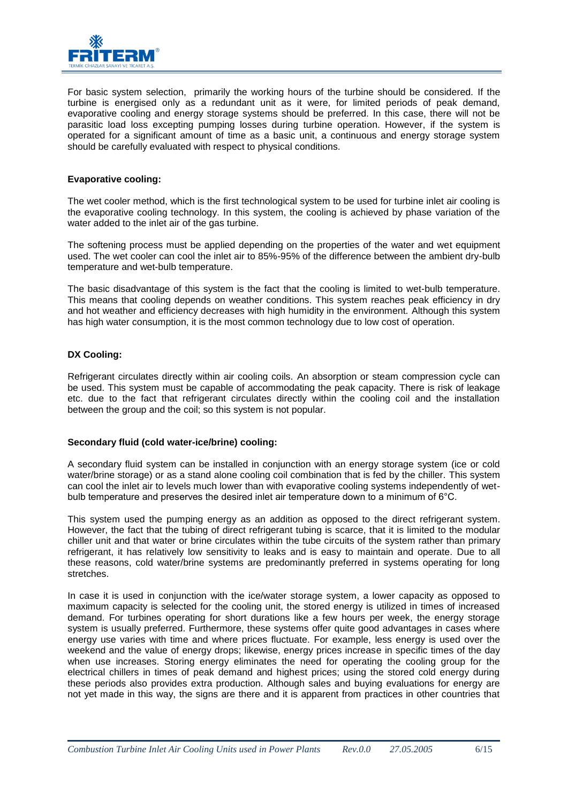

For basic system selection, primarily the working hours of the turbine should be considered. If the turbine is energised only as a redundant unit as it were, for limited periods of peak demand, evaporative cooling and energy storage systems should be preferred. In this case, there will not be parasitic load loss excepting pumping losses during turbine operation. However, if the system is operated for a significant amount of time as a basic unit, a continuous and energy storage system should be carefully evaluated with respect to physical conditions.

#### **Evaporative cooling:**

The wet cooler method, which is the first technological system to be used for turbine inlet air cooling is the evaporative cooling technology. In this system, the cooling is achieved by phase variation of the water added to the inlet air of the gas turbine.

The softening process must be applied depending on the properties of the water and wet equipment used. The wet cooler can cool the inlet air to 85%-95% of the difference between the ambient dry-bulb temperature and wet-bulb temperature.

The basic disadvantage of this system is the fact that the cooling is limited to wet-bulb temperature. This means that cooling depends on weather conditions. This system reaches peak efficiency in dry and hot weather and efficiency decreases with high humidity in the environment. Although this system has high water consumption, it is the most common technology due to low cost of operation.

## **DX Cooling:**

Refrigerant circulates directly within air cooling coils. An absorption or steam compression cycle can be used. This system must be capable of accommodating the peak capacity. There is risk of leakage etc. due to the fact that refrigerant circulates directly within the cooling coil and the installation between the group and the coil; so this system is not popular.

## **Secondary fluid (cold water-ice/brine) cooling:**

A secondary fluid system can be installed in conjunction with an energy storage system (ice or cold water/brine storage) or as a stand alone cooling coil combination that is fed by the chiller. This system can cool the inlet air to levels much lower than with evaporative cooling systems independently of wetbulb temperature and preserves the desired inlet air temperature down to a minimum of 6°C.

This system used the pumping energy as an addition as opposed to the direct refrigerant system. However, the fact that the tubing of direct refrigerant tubing is scarce, that it is limited to the modular chiller unit and that water or brine circulates within the tube circuits of the system rather than primary refrigerant, it has relatively low sensitivity to leaks and is easy to maintain and operate. Due to all these reasons, cold water/brine systems are predominantly preferred in systems operating for long stretches.

In case it is used in conjunction with the ice/water storage system, a lower capacity as opposed to maximum capacity is selected for the cooling unit, the stored energy is utilized in times of increased demand. For turbines operating for short durations like a few hours per week, the energy storage system is usually preferred. Furthermore, these systems offer quite good advantages in cases where energy use varies with time and where prices fluctuate. For example, less energy is used over the weekend and the value of energy drops; likewise, energy prices increase in specific times of the day when use increases. Storing energy eliminates the need for operating the cooling group for the electrical chillers in times of peak demand and highest prices; using the stored cold energy during these periods also provides extra production. Although sales and buying evaluations for energy are not yet made in this way, the signs are there and it is apparent from practices in other countries that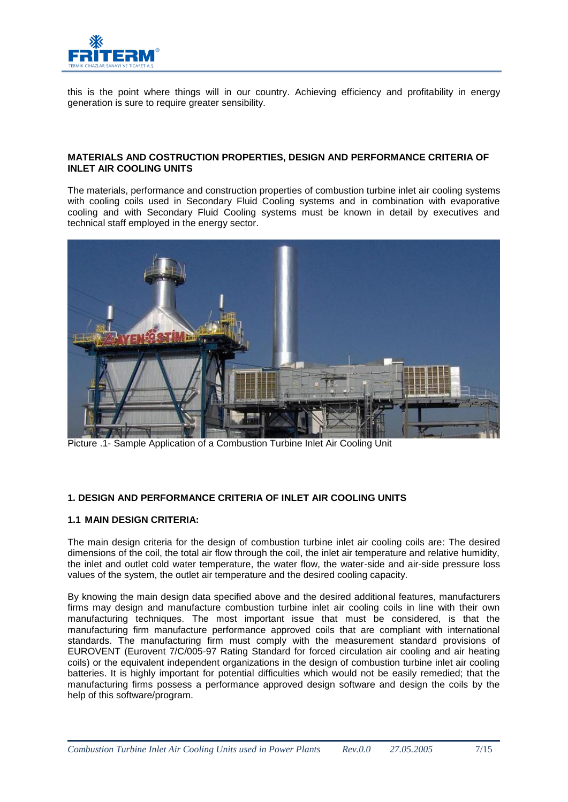

this is the point where things will in our country. Achieving efficiency and profitability in energy generation is sure to require greater sensibility.

#### **MATERIALS AND COSTRUCTION PROPERTIES, DESIGN AND PERFORMANCE CRITERIA OF INLET AIR COOLING UNITS**

The materials, performance and construction properties of combustion turbine inlet air cooling systems with cooling coils used in Secondary Fluid Cooling systems and in combination with evaporative cooling and with Secondary Fluid Cooling systems must be known in detail by executives and technical staff employed in the energy sector.



Picture .1- Sample Application of a Combustion Turbine Inlet Air Cooling Unit

# **1. DESIGN AND PERFORMANCE CRITERIA OF INLET AIR COOLING UNITS**

## **1.1 MAIN DESIGN CRITERIA:**

The main design criteria for the design of combustion turbine inlet air cooling coils are: The desired dimensions of the coil, the total air flow through the coil, the inlet air temperature and relative humidity, the inlet and outlet cold water temperature, the water flow, the water-side and air-side pressure loss values of the system, the outlet air temperature and the desired cooling capacity.

By knowing the main design data specified above and the desired additional features, manufacturers firms may design and manufacture combustion turbine inlet air cooling coils in line with their own manufacturing techniques. The most important issue that must be considered, is that the manufacturing firm manufacture performance approved coils that are compliant with international standards. The manufacturing firm must comply with the measurement standard provisions of EUROVENT (Eurovent 7/C/005-97 Rating Standard for forced circulation air cooling and air heating coils) or the equivalent independent organizations in the design of combustion turbine inlet air cooling batteries. It is highly important for potential difficulties which would not be easily remedied; that the manufacturing firms possess a performance approved design software and design the coils by the help of this software/program.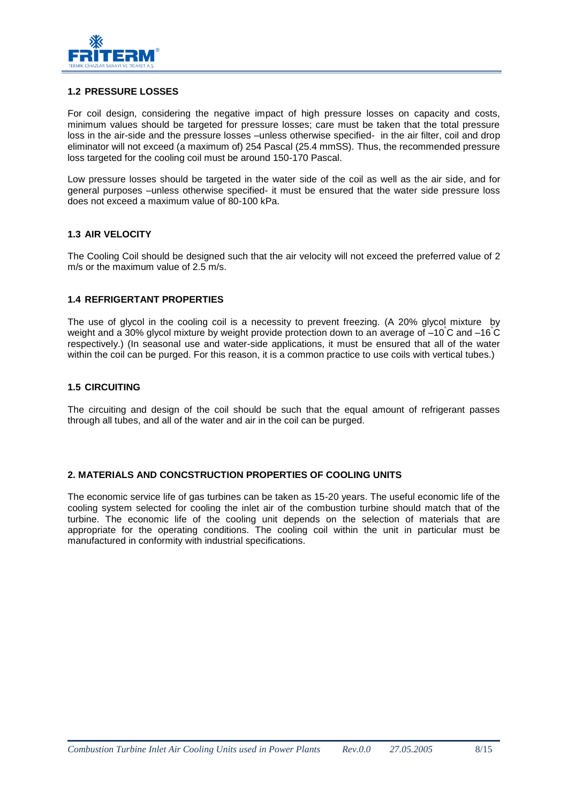

#### **1.2 PRESSURE LOSSES**

For coil design, considering the negative impact of high pressure losses on capacity and costs, minimum values should be targeted for pressure losses; care must be taken that the total pressure loss in the air-side and the pressure losses –unless otherwise specified- in the air filter, coil and drop eliminator will not exceed (a maximum of) 254 Pascal (25.4 mmSS). Thus, the recommended pressure loss targeted for the cooling coil must be around 150-170 Pascal.

Low pressure losses should be targeted in the water side of the coil as well as the air side, and for general purposes –unless otherwise specified- it must be ensured that the water side pressure loss does not exceed a maximum value of 80-100 kPa.

#### **1.3 AIR VELOCITY**

The Cooling Coil should be designed such that the air velocity will not exceed the preferred value of 2 m/s or the maximum value of 2.5 m/s.

#### **1.4 REFRIGERTANT PROPERTIES**

The use of glycol in the cooling coil is a necessity to prevent freezing. (A 20% glycol mixture by weight and a 30% glycol mixture by weight provide protection down to an average of –10°C and –16°C respectively.) (In seasonal use and water-side applications, it must be ensured that all of the water within the coil can be purged. For this reason, it is a common practice to use coils with vertical tubes.)

#### **1.5 CIRCUITING**

The circuiting and design of the coil should be such that the equal amount of refrigerant passes through all tubes, and all of the water and air in the coil can be purged.

#### **2. MATERIALS AND CONCSTRUCTION PROPERTIES OF COOLING UNITS**

The economic service life of gas turbines can be taken as 15-20 years. The useful economic life of the cooling system selected for cooling the inlet air of the combustion turbine should match that of the turbine. The economic life of the cooling unit depends on the selection of materials that are appropriate for the operating conditions. The cooling coil within the unit in particular must be manufactured in conformity with industrial specifications.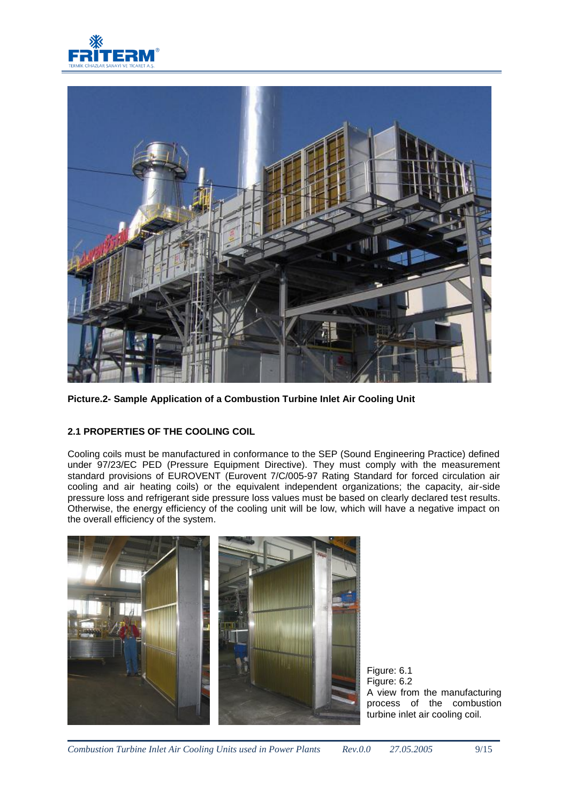



**Picture.2- Sample Application of a Combustion Turbine Inlet Air Cooling Unit**

# **2.1 PROPERTIES OF THE COOLING COIL**

Cooling coils must be manufactured in conformance to the SEP (Sound Engineering Practice) defined under 97/23/EC PED (Pressure Equipment Directive). They must comply with the measurement standard provisions of EUROVENT (Eurovent 7/C/005-97 Rating Standard for forced circulation air cooling and air heating coils) or the equivalent independent organizations; the capacity, air-side pressure loss and refrigerant side pressure loss values must be based on clearly declared test results. Otherwise, the energy efficiency of the cooling unit will be low, which will have a negative impact on the overall efficiency of the system.



Figure: 6.1 Figure: 6.2 A view from the manufacturing process of the combustion turbine inlet air cooling coil.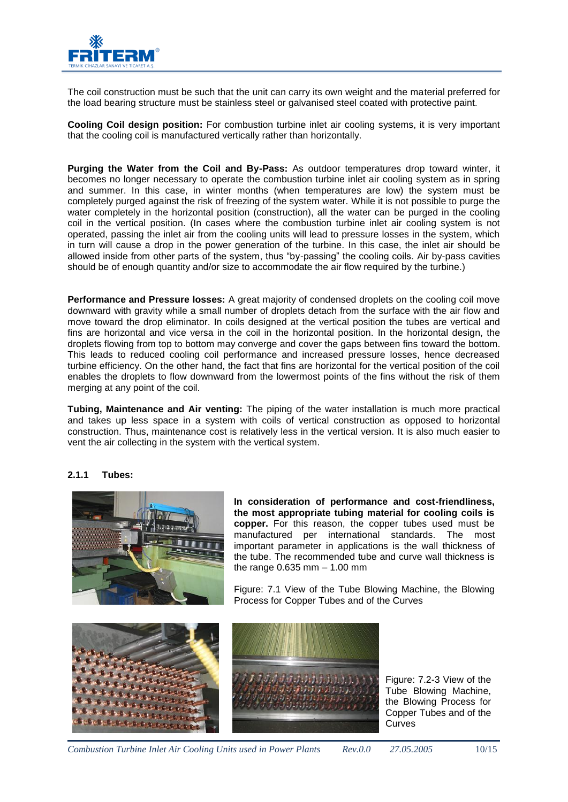

The coil construction must be such that the unit can carry its own weight and the material preferred for the load bearing structure must be stainless steel or galvanised steel coated with protective paint.

**Cooling Coil design position:** For combustion turbine inlet air cooling systems, it is very important that the cooling coil is manufactured vertically rather than horizontally.

**Purging the Water from the Coil and By-Pass:** As outdoor temperatures drop toward winter, it becomes no longer necessary to operate the combustion turbine inlet air cooling system as in spring and summer. In this case, in winter months (when temperatures are low) the system must be completely purged against the risk of freezing of the system water. While it is not possible to purge the water completely in the horizontal position (construction), all the water can be purged in the cooling coil in the vertical position. (In cases where the combustion turbine inlet air cooling system is not operated, passing the inlet air from the cooling units will lead to pressure losses in the system, which in turn will cause a drop in the power generation of the turbine. In this case, the inlet air should be allowed inside from other parts of the system, thus "by-passing" the cooling coils. Air by-pass cavities should be of enough quantity and/or size to accommodate the air flow required by the turbine.)

**Performance and Pressure losses:** A great majority of condensed droplets on the cooling coil move downward with gravity while a small number of droplets detach from the surface with the air flow and move toward the drop eliminator. In coils designed at the vertical position the tubes are vertical and fins are horizontal and vice versa in the coil in the horizontal position. In the horizontal design, the droplets flowing from top to bottom may converge and cover the gaps between fins toward the bottom. This leads to reduced cooling coil performance and increased pressure losses, hence decreased turbine efficiency. On the other hand, the fact that fins are horizontal for the vertical position of the coil enables the droplets to flow downward from the lowermost points of the fins without the risk of them merging at any point of the coil.

**Tubing, Maintenance and Air venting:** The piping of the water installation is much more practical and takes up less space in a system with coils of vertical construction as opposed to horizontal construction. Thus, maintenance cost is relatively less in the vertical version. It is also much easier to vent the air collecting in the system with the vertical system.

## **2.1.1 Tubes:**



 manufactured per international standards. The most **In consideration of performance and cost-friendliness, the most appropriate tubing material for cooling coils is copper.** For this reason, the copper tubes used must be important parameter in applications is the wall thickness of the tube. The recommended tube and curve wall thickness is the range 0.635 mm – 1.00 mm

Figure: 7.1 View of the Tube Blowing Machine, the Blowing Process for Copper Tubes and of the Curves



Figure: 7.2-3 View of the Tube Blowing Machine, the Blowing Process for Copper Tubes and of the Curves

*Combustion Turbine Inlet Air Cooling Units used in Power Plants Rev.0.0 27.05.2005* 10/15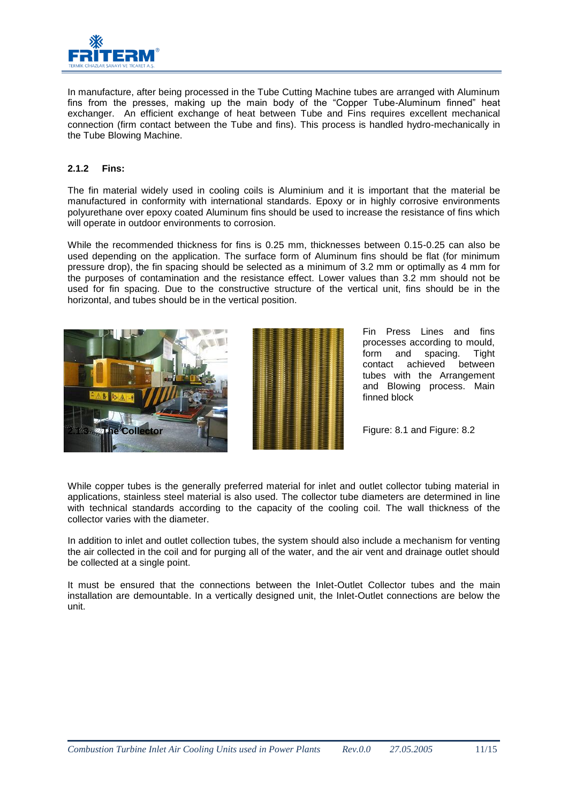

In manufacture, after being processed in the Tube Cutting Machine tubes are arranged with Aluminum fins from the presses, making up the main body of the "Copper Tube-Aluminum finned" heat exchanger. An efficient exchange of heat between Tube and Fins requires excellent mechanical connection (firm contact between the Tube and fins). This process is handled hydro-mechanically in the Tube Blowing Machine.

## **2.1.2 Fins:**

The fin material widely used in cooling coils is Aluminium and it is important that the material be manufactured in conformity with international standards. Epoxy or in highly corrosive environments polyurethane over epoxy coated Aluminum fins should be used to increase the resistance of fins which will operate in outdoor environments to corrosion.

While the recommended thickness for fins is 0.25 mm, thicknesses between 0.15-0.25 can also be used depending on the application. The surface form of Aluminum fins should be flat (for minimum pressure drop), the fin spacing should be selected as a minimum of 3.2 mm or optimally as 4 mm for the purposes of contamination and the resistance effect. Lower values than 3.2 mm should not be used for fin spacing. Due to the constructive structure of the vertical unit, fins should be in the horizontal, and tubes should be in the vertical position.



Fin Press Lines and fins processes according to mould, form and spacing. Tight contact achieved between tubes with the Arrangement and Blowing process. Main finned block

Figure: 8.1 and Figure: 8.2

While copper tubes is the generally preferred material for inlet and outlet collector tubing material in applications, stainless steel material is also used. The collector tube diameters are determined in line with technical standards according to the capacity of the cooling coil. The wall thickness of the collector varies with the diameter.

In addition to inlet and outlet collection tubes, the system should also include a mechanism for venting the air collected in the coil and for purging all of the water, and the air vent and drainage outlet should be collected at a single point.

It must be ensured that the connections between the Inlet-Outlet Collector tubes and the main installation are demountable. In a vertically designed unit, the Inlet-Outlet connections are below the unit.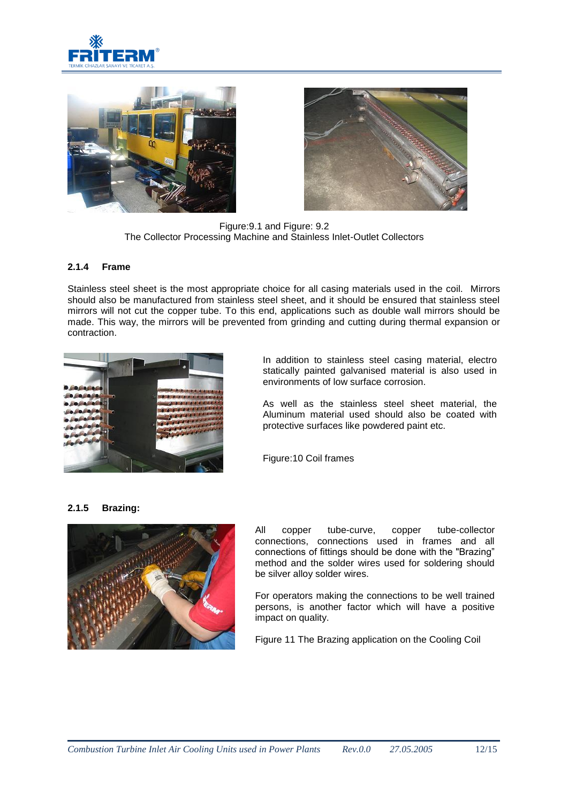





Figure:9.1 and Figure: 9.2 The Collector Processing Machine and Stainless Inlet-Outlet Collectors

#### **2.1.4 Frame**

Stainless steel sheet is the most appropriate choice for all casing materials used in the coil. Mirrors should also be manufactured from stainless steel sheet, and it should be ensured that stainless steel mirrors will not cut the copper tube. To this end, applications such as double wall mirrors should be made. This way, the mirrors will be prevented from grinding and cutting during thermal expansion or contraction.



In addition to stainless steel casing material, electro statically painted galvanised material is also used in environments of low surface corrosion.

As well as the stainless steel sheet material, the Aluminum material used should also be coated with protective surfaces like powdered paint etc.

Figure:10 Coil frames

#### **2.1.5 Brazing:**



All copper tube-curve, copper tube-collector connections, connections used in frames and all connections of fittings should be done with the "Brazing" method and the solder wires used for soldering should be silver alloy solder wires.

For operators making the connections to be well trained persons, is another factor which will have a positive impact on quality.

Figure 11 The Brazing application on the Cooling Coil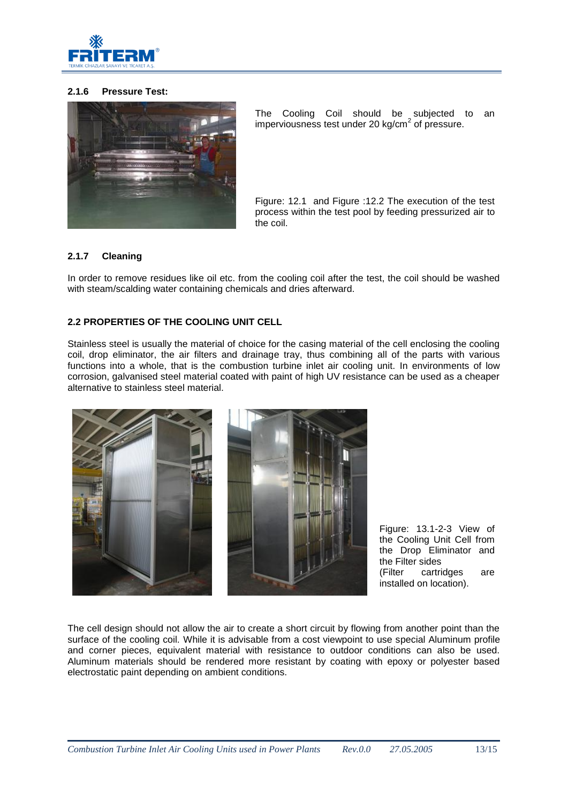

# **2.1.6 Pressure Test:**



The Cooling Coil should be subjected to an imperviousness test under 20 kg/cm<sup>2</sup> of pressure.

Figure: 12.1 and Figure :12.2 The execution of the test process within the test pool by feeding pressurized air to the coil.

## **2.1.7 Cleaning**

In order to remove residues like oil etc. from the cooling coil after the test, the coil should be washed with steam/scalding water containing chemicals and dries afterward.

## **2.2 PROPERTIES OF THE COOLING UNIT CELL**

Stainless steel is usually the material of choice for the casing material of the cell enclosing the cooling coil, drop eliminator, the air filters and drainage tray, thus combining all of the parts with various functions into a whole, that is the combustion turbine inlet air cooling unit. In environments of low corrosion, galvanised steel material coated with paint of high UV resistance can be used as a cheaper alternative to stainless steel material.



Figure: 13.1-2-3 View of the Cooling Unit Cell from the Drop Eliminator and the Filter sides (Filter cartridges are installed on location).

The cell design should not allow the air to create a short circuit by flowing from another point than the surface of the cooling coil. While it is advisable from a cost viewpoint to use special Aluminum profile and corner pieces, equivalent material with resistance to outdoor conditions can also be used. Aluminum materials should be rendered more resistant by coating with epoxy or polyester based electrostatic paint depending on ambient conditions.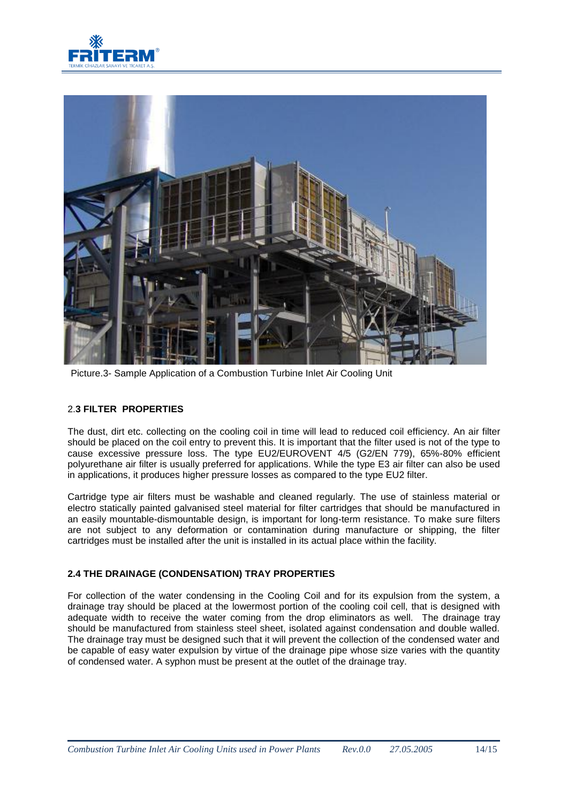



Picture.3- Sample Application of a Combustion Turbine Inlet Air Cooling Unit

## 2.**3 FILTER PROPERTIES**

The dust, dirt etc. collecting on the cooling coil in time will lead to reduced coil efficiency. An air filter should be placed on the coil entry to prevent this. It is important that the filter used is not of the type to cause excessive pressure loss. The type EU2/EUROVENT 4/5 (G2/EN 779), 65%-80% efficient polyurethane air filter is usually preferred for applications. While the type E3 air filter can also be used in applications, it produces higher pressure losses as compared to the type EU2 filter.

Cartridge type air filters must be washable and cleaned regularly. The use of stainless material or electro statically painted galvanised steel material for filter cartridges that should be manufactured in an easily mountable-dismountable design, is important for long-term resistance. To make sure filters are not subject to any deformation or contamination during manufacture or shipping, the filter cartridges must be installed after the unit is installed in its actual place within the facility.

## **2.4 THE DRAINAGE (CONDENSATION) TRAY PROPERTIES**

For collection of the water condensing in the Cooling Coil and for its expulsion from the system, a drainage tray should be placed at the lowermost portion of the cooling coil cell, that is designed with adequate width to receive the water coming from the drop eliminators as well. The drainage tray should be manufactured from stainless steel sheet, isolated against condensation and double walled. The drainage tray must be designed such that it will prevent the collection of the condensed water and be capable of easy water expulsion by virtue of the drainage pipe whose size varies with the quantity of condensed water. A syphon must be present at the outlet of the drainage tray.